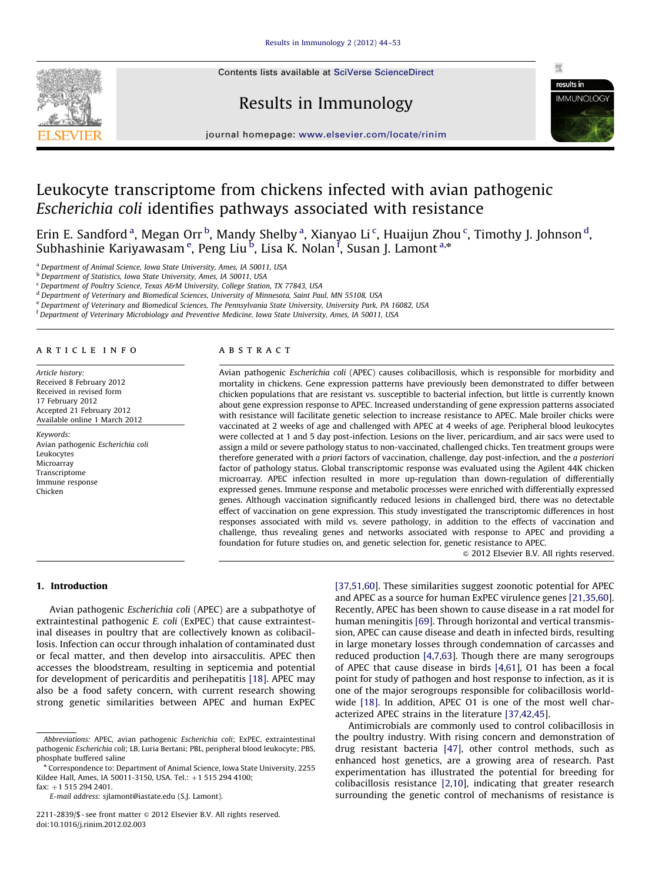Contents lists available at [SciVerse ScienceDirect](www.elsevier.com/locate/rinim)







journal homepage: <www.elsevier.com/locate/rinim>

# Leukocyte transcriptome from chickens infected with avian pathogenic Escherichia coli identifies pathways associated with resistance

Erin E. Sandford <sup>a</sup>, Megan Orr <sup>b</sup>, Mandy Shelby <sup>a</sup>, Xianyao Li <sup>c</sup>, Huaijun Zhou <sup>c</sup>, Timothy J. Johnson <sup>d</sup>, Subhashinie Kariyawasam <sup>e</sup>, Peng Liu <sup>b</sup>, Lisa K. Nolan <sup>f</sup>, Susan J. Lamont <sup>a,</sup>\*

<sup>a</sup> Department of Animal Science, Iowa State University, Ames, IA 50011, USA

<sup>b</sup> Department of Statistics, Iowa State University, Ames, IA 50011, USA

<sup>c</sup> Department of Poultry Science, Texas A&M University, College Station, TX 77843, USA

<sup>d</sup> Department of Veterinary and Biomedical Sciences, University of Minnesota, Saint Paul, MN 55108, USA

<sup>e</sup> Department of Veterinary and Biomedical Sciences, The Pennsylvania State University, University Park, PA 16082, USA

f Department of Veterinary Microbiology and Preventive Medicine, Iowa State University, Ames, IA 50011, USA

#### article info

Article history: Received 8 February 2012 Received in revised form 17 February 2012 Accepted 21 February 2012 Available online 1 March 2012

Keywords: Avian pathogenic Escherichia coli Leukocytes Microarray Transcriptome Immune response Chicken

#### abstract

Avian pathogenic Escherichia coli (APEC) causes colibacillosis, which is responsible for morbidity and mortality in chickens. Gene expression patterns have previously been demonstrated to differ between chicken populations that are resistant vs. susceptible to bacterial infection, but little is currently known about gene expression response to APEC. Increased understanding of gene expression patterns associated with resistance will facilitate genetic selection to increase resistance to APEC. Male broiler chicks were vaccinated at 2 weeks of age and challenged with APEC at 4 weeks of age. Peripheral blood leukocytes were collected at 1 and 5 day post-infection. Lesions on the liver, pericardium, and air sacs were used to assign a mild or severe pathology status to non-vaccinated, challenged chicks. Ten treatment groups were therefore generated with a priori factors of vaccination, challenge, day post-infection, and the a posteriori factor of pathology status. Global transcriptomic response was evaluated using the Agilent 44K chicken microarray. APEC infection resulted in more up-regulation than down-regulation of differentially expressed genes. Immune response and metabolic processes were enriched with differentially expressed genes. Although vaccination significantly reduced lesions in challenged bird, there was no detectable effect of vaccination on gene expression. This study investigated the transcriptomic differences in host responses associated with mild vs. severe pathology, in addition to the effects of vaccination and challenge, thus revealing genes and networks associated with response to APEC and providing a foundation for future studies on, and genetic selection for, genetic resistance to APEC.

 $@$  2012 Elsevier B.V. All rights reserved.

# 1. Introduction

Avian pathogenic Escherichia coli (APEC) are a subpathotye of extraintestinal pathogenic *E. coli* (ExPEC) that cause extraintestinal diseases in poultry that are collectively known as colibacillosis. Infection can occur through inhalation of contaminated dust or fecal matter, and then develop into airsacculitis. APEC then accesses the bloodstream, resulting in septicemia and potential for development of pericarditis and perihepatitis [\[18\].](#page-8-0) APEC may also be a food safety concern, with current research showing strong genetic similarities between APEC and human ExPEC

E-mail address: [sjlamont@iastate.edu \(S.J. Lamont\)](mailto:sjlamont@iastate.edu).

[\[37,51,](#page-8-0)[60](#page-9-0)]. These similarities suggest zoonotic potential for APEC and APEC as a source for human ExPEC virulence genes [\[21,35](#page-8-0)[,60\]](#page-9-0). Recently, APEC has been shown to cause disease in a rat model for human meningitis [\[69\]](#page-9-0). Through horizontal and vertical transmission, APEC can cause disease and death in infected birds, resulting in large monetary losses through condemnation of carcasses and reduced production [\[4,](#page-7-0)[7,](#page-8-0)[63](#page-9-0)]. Though there are many serogroups of APEC that cause disease in birds [\[4](#page-7-0)[,61\]](#page-9-0), O1 has been a focal point for study of pathogen and host response to infection, as it is one of the major serogroups responsible for colibacillosis world-wide [\[18\]](#page-8-0). In addition, APEC 01 is one of the most well characterized APEC strains in the literature [\[37,42,45](#page-8-0)].

Antimicrobials are commonly used to control colibacillosis in the poultry industry. With rising concern and demonstration of drug resistant bacteria [\[47\]](#page-8-0), other control methods, such as enhanced host genetics, are a growing area of research. Past experimentation has illustrated the potential for breeding for colibacillosis resistance [\[2](#page-7-0)[,10\]](#page-8-0), indicating that greater research surrounding the genetic control of mechanisms of resistance is

Abbreviations: APEC, avian pathogenic Escherichia coli; ExPEC, extraintestinal pathogenic Escherichia coli; LB, Luria Bertani; PBL, peripheral blood leukocyte; PBS, phosphate buffered saline

<sup>n</sup> Correspondence to: Department of Animal Science, Iowa State University, 2255 Kildee Hall, Ames, IA 50011-3150, USA. Tel.: +1 515 294 4100;  $fax: +1 515 294 2401.$ 

<sup>2211-2839/\$ -</sup> see front matter  $\circ$  2012 Elsevier B.V. All rights reserved. doi:[10.1016/j.rinim.2012.02.003](dx.doi.org/10.1016/j.rinim.2012.02.003)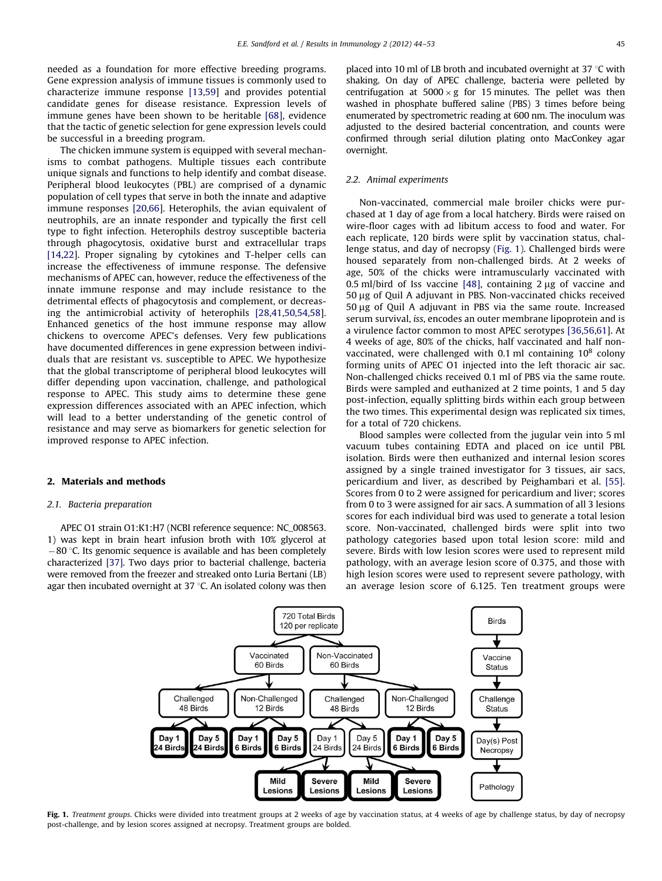<span id="page-1-0"></span>needed as a foundation for more effective breeding programs. Gene expression analysis of immune tissues is commonly used to characterize immune response [\[13,59](#page-8-0)] and provides potential candidate genes for disease resistance. Expression levels of immune genes have been shown to be heritable [\[68\]](#page-9-0), evidence that the tactic of genetic selection for gene expression levels could be successful in a breeding program.

The chicken immune system is equipped with several mechanisms to combat pathogens. Multiple tissues each contribute unique signals and functions to help identify and combat disease. Peripheral blood leukocytes (PBL) are comprised of a dynamic population of cell types that serve in both the innate and adaptive immune responses [\[20](#page-8-0),[66\]](#page-9-0). Heterophils, the avian equivalent of neutrophils, are an innate responder and typically the first cell type to fight infection. Heterophils destroy susceptible bacteria through phagocytosis, oxidative burst and extracellular traps [\[14,22\]](#page-8-0). Proper signaling by cytokines and T-helper cells can increase the effectiveness of immune response. The defensive mechanisms of APEC can, however, reduce the effectiveness of the innate immune response and may include resistance to the detrimental effects of phagocytosis and complement, or decreasing the antimicrobial activity of heterophils [\[28,41,50,54](#page-8-0),[58\]](#page-8-0). Enhanced genetics of the host immune response may allow chickens to overcome APEC's defenses. Very few publications have documented differences in gene expression between individuals that are resistant vs. susceptible to APEC. We hypothesize that the global transcriptome of peripheral blood leukocytes will differ depending upon vaccination, challenge, and pathological response to APEC. This study aims to determine these gene expression differences associated with an APEC infection, which will lead to a better understanding of the genetic control of resistance and may serve as biomarkers for genetic selection for improved response to APEC infection.

# 2. Materials and methods

## 2.1. Bacteria preparation

APEC O1 strain O1:K1:H7 (NCBI reference sequence: NC\_008563. 1) was kept in brain heart infusion broth with 10% glycerol at  $-80$  °C. Its genomic sequence is available and has been completely characterized [\[37\].](#page-8-0) Two days prior to bacterial challenge, bacteria were removed from the freezer and streaked onto Luria Bertani (LB) agar then incubated overnight at 37  $\degree$ C. An isolated colony was then placed into 10 ml of LB broth and incubated overnight at 37  $\degree$ C with shaking. On day of APEC challenge, bacteria were pelleted by centrifugation at  $5000 \times g$  for 15 minutes. The pellet was then washed in phosphate buffered saline (PBS) 3 times before being enumerated by spectrometric reading at 600 nm. The inoculum was adjusted to the desired bacterial concentration, and counts were confirmed through serial dilution plating onto MacConkey agar overnight.

# 2.2. Animal experiments

Non-vaccinated, commercial male broiler chicks were purchased at 1 day of age from a local hatchery. Birds were raised on wire-floor cages with ad libitum access to food and water. For each replicate, 120 birds were split by vaccination status, challenge status, and day of necropsy (Fig. 1). Challenged birds were housed separately from non-challenged birds. At 2 weeks of age, 50% of the chicks were intramuscularly vaccinated with 0.5 ml/bird of Iss vaccine [\[48\]](#page-8-0), containing  $2 \mu$ g of vaccine and 50 mg of Quil A adjuvant in PBS. Non-vaccinated chicks received 50 mg of Quil A adjuvant in PBS via the same route. Increased serum survival, iss, encodes an outer membrane lipoprotein and is a virulence factor common to most APEC serotypes [\[36,56,](#page-8-0)[61](#page-9-0)]. At 4 weeks of age, 80% of the chicks, half vaccinated and half nonvaccinated, were challenged with 0.1 ml containing  $10^8$  colony forming units of APEC O1 injected into the left thoracic air sac. Non-challenged chicks received 0.1 ml of PBS via the same route. Birds were sampled and euthanized at 2 time points, 1 and 5 day post-infection, equally splitting birds within each group between the two times. This experimental design was replicated six times, for a total of 720 chickens.

Blood samples were collected from the jugular vein into 5 ml vacuum tubes containing EDTA and placed on ice until PBL isolation. Birds were then euthanized and internal lesion scores assigned by a single trained investigator for 3 tissues, air sacs, pericardium and liver, as described by Peighambari et al. [\[55\].](#page-8-0) Scores from 0 to 2 were assigned for pericardium and liver; scores from 0 to 3 were assigned for air sacs. A summation of all 3 lesions scores for each individual bird was used to generate a total lesion score. Non-vaccinated, challenged birds were split into two pathology categories based upon total lesion score: mild and severe. Birds with low lesion scores were used to represent mild pathology, with an average lesion score of 0.375, and those with high lesion scores were used to represent severe pathology, with an average lesion score of 6.125. Ten treatment groups were



Fig. 1. Treatment groups. Chicks were divided into treatment groups at 2 weeks of age by vaccination status, at 4 weeks of age by challenge status, by day of necropsy post-challenge, and by lesion scores assigned at necropsy. Treatment groups are bolded.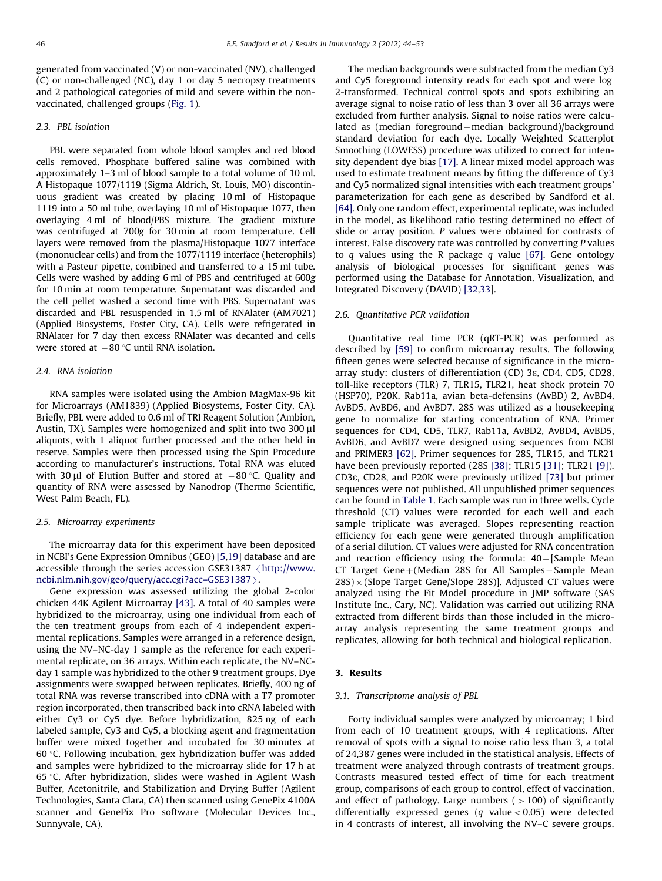generated from vaccinated (V) or non-vaccinated (NV), challenged (C) or non-challenged (NC), day 1 or day 5 necropsy treatments and 2 pathological categories of mild and severe within the nonvaccinated, challenged groups [\(Fig. 1](#page-1-0)).

## 2.3. PBL isolation

PBL were separated from whole blood samples and red blood cells removed. Phosphate buffered saline was combined with approximately 1–3 ml of blood sample to a total volume of 10 ml. A Histopaque 1077/1119 (Sigma Aldrich, St. Louis, MO) discontinuous gradient was created by placing 10 ml of Histopaque 1119 into a 50 ml tube, overlaying 10 ml of Histopaque 1077, then overlaying 4 ml of blood/PBS mixture. The gradient mixture was centrifuged at 700g for 30 min at room temperature. Cell layers were removed from the plasma/Histopaque 1077 interface (mononuclear cells) and from the 1077/1119 interface (heterophils) with a Pasteur pipette, combined and transferred to a 15 ml tube. Cells were washed by adding 6 ml of PBS and centrifuged at 600g for 10 min at room temperature. Supernatant was discarded and the cell pellet washed a second time with PBS. Supernatant was discarded and PBL resuspended in 1.5 ml of RNAlater (AM7021) (Applied Biosystems, Foster City, CA). Cells were refrigerated in RNAlater for 7 day then excess RNAlater was decanted and cells were stored at  $-80\,^{\circ}\textrm{C}$  until RNA isolation.

## 2.4. RNA isolation

RNA samples were isolated using the Ambion MagMax-96 kit for Microarrays (AM1839) (Applied Biosystems, Foster City, CA). Briefly, PBL were added to 0.6 ml of TRI Reagent Solution (Ambion, Austin, TX). Samples were homogenized and split into two  $300 \mu$ l aliquots, with 1 aliquot further processed and the other held in reserve. Samples were then processed using the Spin Procedure according to manufacturer's instructions. Total RNA was eluted with 30  $\mu$ l of Elution Buffer and stored at  $-80$  °C. Quality and quantity of RNA were assessed by Nanodrop (Thermo Scientific, West Palm Beach, FL).

#### 2.5. Microarray experiments

The microarray data for this experiment have been deposited in NCBI's Gene Expression Omnibus (GEO) [\[5,19\]](#page-8-0) database and are accessible through the series accession GSE31387  $\langle$  [http://www.](http://www.ncbi.nlm.nih.gov/geo/query/acc.cgi?acc=GSE31387) [ncbi.nlm.nih.gov/geo/query/acc.cgi?acc=GSE31387](http://www.ncbi.nlm.nih.gov/geo/query/acc.cgi?acc=GSE31387) $\rangle$ .

Gene expression was assessed utilizing the global 2-color chicken 44K Agilent Microarray [\[43\].](#page-8-0) A total of 40 samples were hybridized to the microarray, using one individual from each of the ten treatment groups from each of 4 independent experimental replications. Samples were arranged in a reference design, using the NV–NC-day 1 sample as the reference for each experimental replicate, on 36 arrays. Within each replicate, the NV–NCday 1 sample was hybridized to the other 9 treatment groups. Dye assignments were swapped between replicates. Briefly, 400 ng of total RNA was reverse transcribed into cDNA with a T7 promoter region incorporated, then transcribed back into cRNA labeled with either Cy3 or Cy5 dye. Before hybridization, 825 ng of each labeled sample, Cy3 and Cy5, a blocking agent and fragmentation buffer were mixed together and incubated for 30 minutes at 60 $\degree$ C. Following incubation, gex hybridization buffer was added and samples were hybridized to the microarray slide for 17 h at 65 °C. After hybridization, slides were washed in Agilent Wash Buffer, Acetonitrile, and Stabilization and Drying Buffer (Agilent Technologies, Santa Clara, CA) then scanned using GenePix 4100A scanner and GenePix Pro software (Molecular Devices Inc., Sunnyvale, CA).

The median backgrounds were subtracted from the median Cy3 and Cy5 foreground intensity reads for each spot and were log 2-transformed. Technical control spots and spots exhibiting an average signal to noise ratio of less than 3 over all 36 arrays were excluded from further analysis. Signal to noise ratios were calculated as (median foreground-median background)/background standard deviation for each dye. Locally Weighted Scatterplot Smoothing (LOWESS) procedure was utilized to correct for intensity dependent dye bias [\[17\].](#page-8-0) A linear mixed model approach was used to estimate treatment means by fitting the difference of Cy3 and Cy5 normalized signal intensities with each treatment groups' parameterization for each gene as described by Sandford et al. [\[64\]](#page-9-0). Only one random effect, experimental replicate, was included in the model, as likelihood ratio testing determined no effect of slide or array position. P values were obtained for contrasts of interest. False discovery rate was controlled by converting P values to  $q$  values using the R package  $q$  value [\[67\].](#page-9-0) Gene ontology analysis of biological processes for significant genes was performed using the Database for Annotation, Visualization, and Integrated Discovery (DAVID) [\[32](#page-8-0),[33\]](#page-8-0).

## 2.6. Quantitative PCR validation

Quantitative real time PCR (qRT-PCR) was performed as described by [\[59\]](#page-8-0) to confirm microarray results. The following fifteen genes were selected because of significance in the microarray study: clusters of differentiation (CD) 3e, CD4, CD5, CD28, toll-like receptors (TLR) 7, TLR15, TLR21, heat shock protein 70 (HSP70), P20K, Rab11a, avian beta-defensins (AvBD) 2, AvBD4, AvBD5, AvBD6, and AvBD7. 28S was utilized as a housekeeping gene to normalize for starting concentration of RNA. Primer sequences for CD4, CD5, TLR7, Rab11a, AvBD2, AvBD4, AvBD5, AvBD6, and AvBD7 were designed using sequences from NCBI and PRIMER3 [\[62\].](#page-9-0) Primer sequences for 28S, TLR15, and TLR21 have been previously reported (28S [\[38\]](#page-8-0); TLR15 [\[31\]](#page-8-0); TLR21 [\[9\]\)](#page-8-0). CD3e, CD28, and P20K were previously utilized [\[73\]](#page-9-0) but primer sequences were not published. All unpublished primer sequences can be found in [Table 1.](#page-3-0) Each sample was run in three wells. Cycle threshold (CT) values were recorded for each well and each sample triplicate was averaged. Slopes representing reaction efficiency for each gene were generated through amplification of a serial dilution. CT values were adjusted for RNA concentration and reaction efficiency using the formula: 40-[Sample Mean CT Target  $Gene+(Median 28S$  for All Samples - Sample Mean  $28S \times (Slope Target Gene/Slope 28S)$ ]. Adjusted CT values were analyzed using the Fit Model procedure in JMP software (SAS Institute Inc., Cary, NC). Validation was carried out utilizing RNA extracted from different birds than those included in the microarray analysis representing the same treatment groups and replicates, allowing for both technical and biological replication.

# 3. Results

#### 3.1. Transcriptome analysis of PBL

Forty individual samples were analyzed by microarray; 1 bird from each of 10 treatment groups, with 4 replications. After removal of spots with a signal to noise ratio less than 3, a total of 24,387 genes were included in the statistical analysis. Effects of treatment were analyzed through contrasts of treatment groups. Contrasts measured tested effect of time for each treatment group, comparisons of each group to control, effect of vaccination, and effect of pathology. Large numbers  $(>100)$  of significantly differentially expressed genes (q value < 0.05) were detected in 4 contrasts of interest, all involving the NV–C severe groups.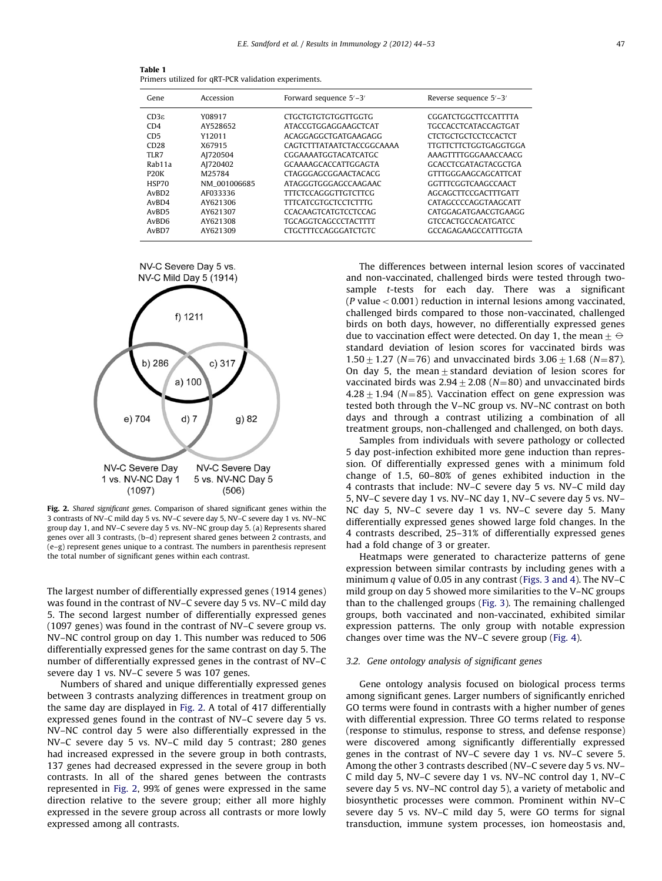<span id="page-3-0"></span>

| Table 1 |                                                      |  |
|---------|------------------------------------------------------|--|
|         | Primers utilized for qRT-PCR validation experiments. |  |

| Gene              | Accession    | Forward sequence 5'-3'      | Reverse sequence 5'-3'       |
|-------------------|--------------|-----------------------------|------------------------------|
| $CD3\varepsilon$  | Y08917       | <b>CTGCTGTGTGTGGTTGGTG</b>  | CGGATCTGGCTTCCATTTTA         |
| CD4               | AY528652     | ATACCGTGGAGGAAGCTCAT        | <b>TGCCACCTCATACCAGTGAT</b>  |
| CD <sub>5</sub>   | Y12011       | ACAGGAGGCTGATGAAGAGG        | <b>CTCTGCTGCTCCTCCACTCT</b>  |
| CD28              | X67915       | CAGTCTTTATAATCTACCGGCAAAA   | <b>TTGTTCTTCTGGTGAGGTGGA</b> |
| TLR7              | AJ720504     | CGGAAAATGGTACATCATGC        | AAAGTTTTGGGAAACCAACG         |
| Rab11a            | AJ720402     | GCAAAAGCACCATTGGAGTA        | <b>GCACCTCGATAGTACGCTGA</b>  |
| P <sub>20</sub> K | M25784       | <b>CTAGGGAGCGGAACTACACG</b> | <b>GTTTGGGAAGCAGCATTCAT</b>  |
| HSP70             | NM 001006685 | ATAGGGTGGGAGCCAAGAAC        | GGTTTCGGTCAAGCCAACT          |
| AvBD <sub>2</sub> | AF033336     | <b>TITCTCCAGGGTTGTCTTCG</b> | AGCAGCTTCCGACTTTGATT         |
| AvBD4             | AY621306     | <b>TITCATCGTGCTCCTCTTTG</b> | CATAGCCCCAGGTAAGCATT         |
| AvBD <sub>5</sub> | AY621307     | <b>CCACAAGTCATGTCCTCCAG</b> | CATGGAGATGAACGTGAAGG         |
| AvBD <sub>6</sub> | AY621308     | <b>TGCAGGTCAGCCCTACTTTT</b> | <b>GTCCACTGCCACATGATCC</b>   |
| AvBD7             | AY621309     | <b>CTGCTTTCCAGGGATCTGTC</b> | GCCAGAGAAGCCATTTGGTA         |





Fig. 2. Shared significant genes. Comparison of shared significant genes within the 3 contrasts of NV–C mild day 5 vs. NV–C severe day 5, NV–C severe day 1 vs. NV–NC group day 1, and NV–C severe day 5 vs. NV–NC group day 5. (a) Represents shared genes over all 3 contrasts, (b–d) represent shared genes between 2 contrasts, and (e–g) represent genes unique to a contrast. The numbers in parenthesis represent the total number of significant genes within each contrast.

The largest number of differentially expressed genes (1914 genes) was found in the contrast of NV–C severe day 5 vs. NV–C mild day 5. The second largest number of differentially expressed genes (1097 genes) was found in the contrast of NV–C severe group vs. NV–NC control group on day 1. This number was reduced to 506 differentially expressed genes for the same contrast on day 5. The number of differentially expressed genes in the contrast of NV–C severe day 1 vs. NV–C severe 5 was 107 genes.

Numbers of shared and unique differentially expressed genes between 3 contrasts analyzing differences in treatment group on the same day are displayed in Fig. 2. A total of 417 differentially expressed genes found in the contrast of NV–C severe day 5 vs. NV–NC control day 5 were also differentially expressed in the NV–C severe day 5 vs. NV–C mild day 5 contrast; 280 genes had increased expressed in the severe group in both contrasts, 137 genes had decreased expressed in the severe group in both contrasts. In all of the shared genes between the contrasts represented in Fig. 2, 99% of genes were expressed in the same direction relative to the severe group; either all more highly expressed in the severe group across all contrasts or more lowly expressed among all contrasts.

The differences between internal lesion scores of vaccinated and non-vaccinated, challenged birds were tested through twosample t-tests for each day. There was a significant ( $P$  value  $< 0.001$ ) reduction in internal lesions among vaccinated, challenged birds compared to those non-vaccinated, challenged birds on both days, however, no differentially expressed genes due to vaccination effect were detected. On day 1, the mean  $\pm \ominus$ standard deviation of lesion scores for vaccinated birds was  $1.50 \pm 1.27$  (N=76) and unvaccinated birds  $3.06 \pm 1.68$  (N=87). On day 5, the mean $\pm$  standard deviation of lesion scores for vaccinated birds was  $2.94 \pm 2.08$  (N=80) and unvaccinated birds  $4.28 \pm 1.94$  (N=85). Vaccination effect on gene expression was tested both through the V–NC group vs. NV–NC contrast on both days and through a contrast utilizing a combination of all treatment groups, non-challenged and challenged, on both days.

Samples from individuals with severe pathology or collected 5 day post-infection exhibited more gene induction than repression. Of differentially expressed genes with a minimum fold change of 1.5, 60–80% of genes exhibited induction in the 4 contrasts that include: NV–C severe day 5 vs. NV–C mild day 5, NV–C severe day 1 vs. NV–NC day 1, NV–C severe day 5 vs. NV– NC day 5, NV–C severe day 1 vs. NV–C severe day 5. Many differentially expressed genes showed large fold changes. In the 4 contrasts described, 25–31% of differentially expressed genes had a fold change of 3 or greater.

Heatmaps were generated to characterize patterns of gene expression between similar contrasts by including genes with a minimum q value of 0.05 in any contrast ([Figs. 3 and 4\)](#page-4-0). The NV–C mild group on day 5 showed more similarities to the V–NC groups than to the challenged groups ([Fig. 3\)](#page-4-0). The remaining challenged groups, both vaccinated and non-vaccinated, exhibited similar expression patterns. The only group with notable expression changes over time was the NV–C severe group ([Fig. 4\)](#page-5-0).

## 3.2. Gene ontology analysis of significant genes

Gene ontology analysis focused on biological process terms among significant genes. Larger numbers of significantly enriched GO terms were found in contrasts with a higher number of genes with differential expression. Three GO terms related to response (response to stimulus, response to stress, and defense response) were discovered among significantly differentially expressed genes in the contrast of NV–C severe day 1 vs. NV–C severe 5. Among the other 3 contrasts described (NV–C severe day 5 vs. NV– C mild day 5, NV–C severe day 1 vs. NV–NC control day 1, NV–C severe day 5 vs. NV–NC control day 5), a variety of metabolic and biosynthetic processes were common. Prominent within NV–C severe day 5 vs. NV–C mild day 5, were GO terms for signal transduction, immune system processes, ion homeostasis and,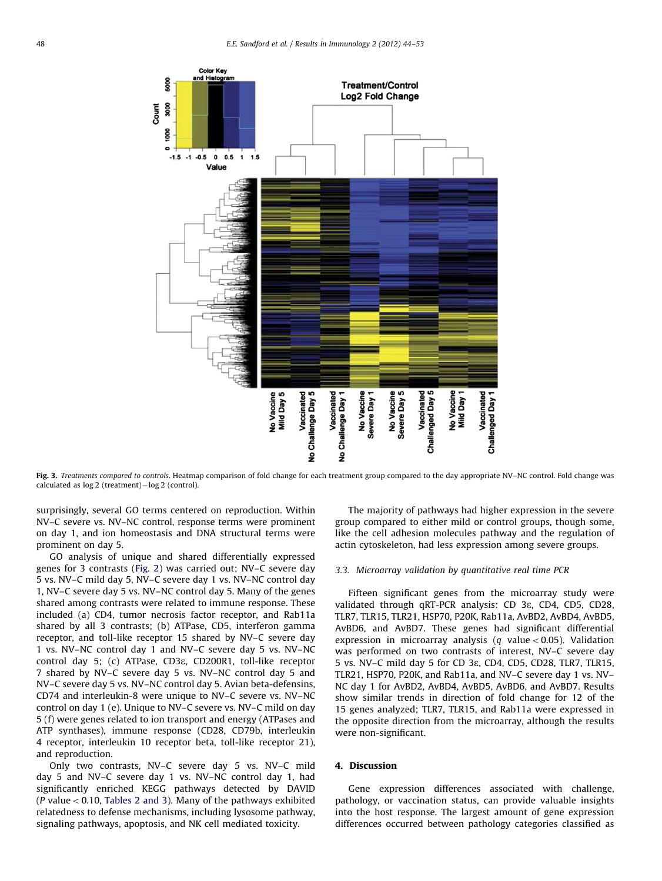<span id="page-4-0"></span>

Fig. 3. Treatments compared to controls. Heatmap comparison of fold change for each treatment group compared to the day appropriate NV–NC control. Fold change was calculated as log 2 (treatment)-log 2 (control).

surprisingly, several GO terms centered on reproduction. Within NV–C severe vs. NV–NC control, response terms were prominent on day 1, and ion homeostasis and DNA structural terms were prominent on day 5.

GO analysis of unique and shared differentially expressed genes for 3 contrasts ([Fig. 2](#page-3-0)) was carried out; NV–C severe day 5 vs. NV–C mild day 5, NV–C severe day 1 vs. NV–NC control day 1, NV–C severe day 5 vs. NV–NC control day 5. Many of the genes shared among contrasts were related to immune response. These included (a) CD4, tumor necrosis factor receptor, and Rab11a shared by all 3 contrasts; (b) ATPase, CD5, interferon gamma receptor, and toll-like receptor 15 shared by NV–C severe day 1 vs. NV–NC control day 1 and NV–C severe day 5 vs. NV–NC control day 5; (c) ATPase, CD3e, CD200R1, toll-like receptor 7 shared by NV–C severe day 5 vs. NV–NC control day 5 and NV–C severe day 5 vs. NV–NC control day 5. Avian beta-defensins, CD74 and interleukin-8 were unique to NV–C severe vs. NV–NC control on day 1 (e). Unique to NV–C severe vs. NV–C mild on day 5 (f) were genes related to ion transport and energy (ATPases and ATP synthases), immune response (CD28, CD79b, interleukin 4 receptor, interleukin 10 receptor beta, toll-like receptor 21), and reproduction.

Only two contrasts, NV–C severe day 5 vs. NV–C mild day 5 and NV–C severe day 1 vs. NV–NC control day 1, had significantly enriched KEGG pathways detected by DAVID ( $P$  value < 0.10, [Tables 2 and 3\)](#page-5-0). Many of the pathways exhibited relatedness to defense mechanisms, including lysosome pathway, signaling pathways, apoptosis, and NK cell mediated toxicity.

The majority of pathways had higher expression in the severe group compared to either mild or control groups, though some, like the cell adhesion molecules pathway and the regulation of actin cytoskeleton, had less expression among severe groups.

## 3.3. Microarray validation by quantitative real time PCR

Fifteen significant genes from the microarray study were validated through qRT-PCR analysis: CD 3e, CD4, CD5, CD28, TLR7, TLR15, TLR21, HSP70, P20K, Rab11a, AvBD2, AvBD4, AvBD5, AvBD6, and AvBD7. These genes had significant differential expression in microarray analysis (q value < 0.05). Validation was performed on two contrasts of interest, NV–C severe day 5 vs. NV–C mild day 5 for CD 3e, CD4, CD5, CD28, TLR7, TLR15, TLR21, HSP70, P20K, and Rab11a, and NV–C severe day 1 vs. NV– NC day 1 for AvBD2, AvBD4, AvBD5, AvBD6, and AvBD7. Results show similar trends in direction of fold change for 12 of the 15 genes analyzed; TLR7, TLR15, and Rab11a were expressed in the opposite direction from the microarray, although the results were non-significant.

#### 4. Discussion

Gene expression differences associated with challenge, pathology, or vaccination status, can provide valuable insights into the host response. The largest amount of gene expression differences occurred between pathology categories classified as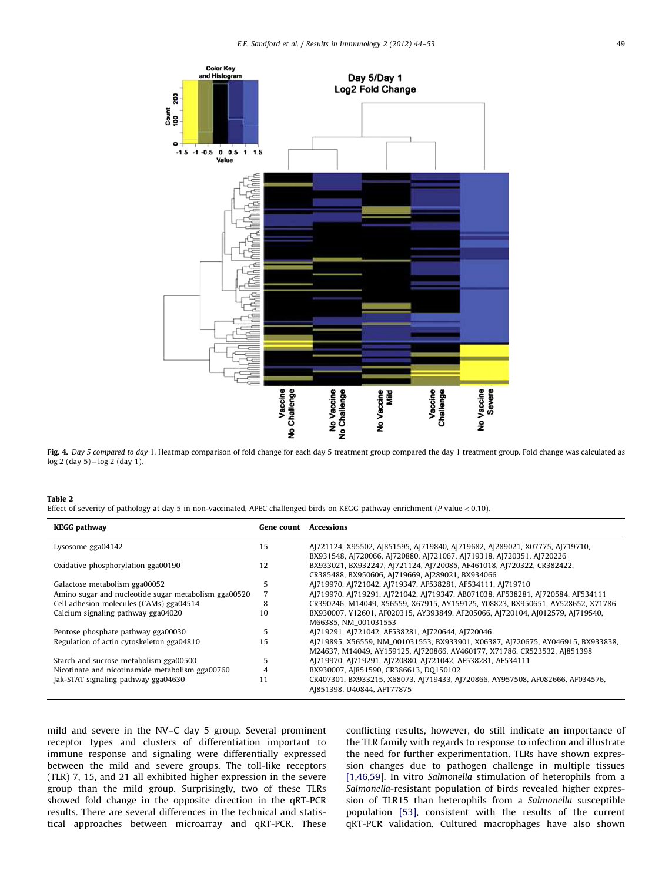<span id="page-5-0"></span>

Fig. 4. Day 5 compared to day 1. Heatmap comparison of fold change for each day 5 treatment group compared the day 1 treatment group. Fold change was calculated as log 2 (day 5)-log 2 (day 1).

| $\sim$<br>. .<br><b>STEP</b> |  |
|------------------------------|--|
|------------------------------|--|

Effect of severity of pathology at day 5 in non-vaccinated, APEC challenged birds on KEGG pathway enrichment (P value < 0.10).

| <b>KEGG pathway</b>                                  | <b>Gene count Accessions</b> |                                                                                                                                                                                                   |
|------------------------------------------------------|------------------------------|---------------------------------------------------------------------------------------------------------------------------------------------------------------------------------------------------|
| Lysosome gga04142                                    | 15                           | AJ721124, X95502, AJ851595, AJ719840, AJ719682, AJ289021, X07775, AJ719710,                                                                                                                       |
| Oxidative phosphorylation gga00190                   | 12                           | BX931548, AJ720066, AJ720880, AJ721067, AJ719318, AJ720351, AJ720226<br>BX933021, BX932247, AJ721124, AJ720085, AF461018, AJ720322, CR382422,<br>CR385488, BX950606, AJ719669, AJ289021, BX934066 |
| Galactose metabolism gga00052                        | 5                            | AJ719970, AJ721042, AJ719347, AF538281, AF534111, AJ719710                                                                                                                                        |
| Amino sugar and nucleotide sugar metabolism gga00520 | 7                            | AJ719970, AJ719291, AJ721042, AJ719347, AB071038, AF538281, AJ720584, AF534111                                                                                                                    |
| Cell adhesion molecules (CAMs) gga04514              | 8                            | CR390246, M14049, X56559, X67915, AY159125, Y08823, BX950651, AY528652, X71786                                                                                                                    |
| Calcium signaling pathway gga04020                   | 10                           | BX930007, Y12601, AF020315, AY393849, AF205066, AJ720104, AJ012579, AJ719540,<br>M66385, NM 001031553                                                                                             |
| Pentose phosphate pathway gga00030                   | 5                            | AJ719291, AJ721042, AF538281, AJ720644, AJ720046                                                                                                                                                  |
| Regulation of actin cytoskeleton gga04810            | 15                           | AJ719895, X56559, NM_001031553, BX933901, X06387, AJ720675, AY046915, BX933838,<br>M24637, M14049, AY159125, AJ720866, AY460177, X71786, CR523532, AJ851398                                       |
| Starch and sucrose metabolism gga00500               | 5                            | AJ719970, AJ719291, AJ720880, AJ721042, AF538281, AF534111                                                                                                                                        |
| Nicotinate and nicotinamide metabolism gga00760      | 4                            | BX930007, AJ851590, CR386613, DQ150102                                                                                                                                                            |
| Jak-STAT signaling pathway gga04630                  |                              | CR407301, BX933215, X68073, AJ719433, AJ720866, AY957508, AF082666, AF034576,<br>AJ851398, U40844, AF177875                                                                                       |

mild and severe in the NV–C day 5 group. Several prominent receptor types and clusters of differentiation important to immune response and signaling were differentially expressed between the mild and severe groups. The toll-like receptors (TLR) 7, 15, and 21 all exhibited higher expression in the severe group than the mild group. Surprisingly, two of these TLRs showed fold change in the opposite direction in the qRT-PCR results. There are several differences in the technical and statistical approaches between microarray and qRT-PCR. These conflicting results, however, do still indicate an importance of the TLR family with regards to response to infection and illustrate the need for further experimentation. TLRs have shown expression changes due to pathogen challenge in multiple tissues [\[1](#page-7-0)[,46,59](#page-8-0)]. In vitro Salmonella stimulation of heterophils from a Salmonella-resistant population of birds revealed higher expression of TLR15 than heterophils from a Salmonella susceptible population [\[53\],](#page-8-0) consistent with the results of the current qRT-PCR validation. Cultured macrophages have also shown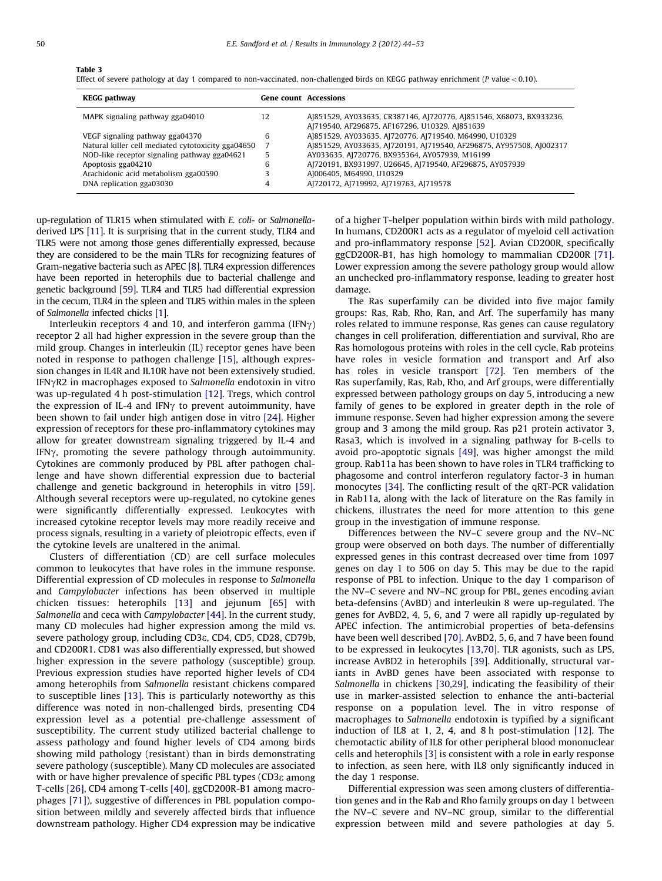# Table 3

Effect of severe pathology at day 1 compared to non-vaccinated, non-challenged birds on KEGG pathway enrichment ( $P$  value < 0.10).

| <b>KEGG pathway</b>                                |    | <b>Gene count</b> Accessions                                                                                          |
|----------------------------------------------------|----|-----------------------------------------------------------------------------------------------------------------------|
| MAPK signaling pathway gga04010                    | 12 | AJ851529, AY033635, CR387146, AJ720776, AJ851546, X68073, BX933236,<br>AJ719540, AF296875, AF167296, U10329, AJ851639 |
| VEGF signaling pathway gga04370                    | 6  | AJ851529, AY033635, AJ720776, AJ719540, M64990, U10329                                                                |
| Natural killer cell mediated cytotoxicity gga04650 |    | AJ851529, AY033635, AJ720191, AJ719540, AF296875, AY957508, AJ002317                                                  |
| NOD-like receptor signaling pathway gga04621       | 5  | AY033635, AJ720776, BX935364, AY057939, M16199                                                                        |
| Apoptosis gga04210                                 | 6  | AJ720191, BX931997, U26645, AJ719540, AF296875, AY057939                                                              |
| Arachidonic acid metabolism gga00590               | 3  | AJ006405, M64990, U10329                                                                                              |
| DNA replication gga03030                           | 4  | AJ720172, AJ719992, AJ719763, AJ719578                                                                                |

up-regulation of TLR15 when stimulated with E. coli- or Salmonelladerived LPS [\[11\].](#page-8-0) It is surprising that in the current study, TLR4 and TLR5 were not among those genes differentially expressed, because they are considered to be the main TLRs for recognizing features of Gram-negative bacteria such as APEC [\[8\].](#page-8-0) TLR4 expression differences have been reported in heterophils due to bacterial challenge and genetic background [\[59\]](#page-8-0). TLR4 and TLR5 had differential expression in the cecum, TLR4 in the spleen and TLR5 within males in the spleen of Salmonella infected chicks [\[1\].](#page-7-0)

Interleukin receptors 4 and 10, and interferon gamma (IFN $\gamma$ ) receptor 2 all had higher expression in the severe group than the mild group. Changes in interleukin (IL) receptor genes have been noted in response to pathogen challenge [\[15\]](#page-8-0), although expression changes in IL4R and IL10R have not been extensively studied. IFN $\gamma$ R2 in macrophages exposed to Salmonella endotoxin in vitro was up-regulated 4 h post-stimulation [\[12\]](#page-8-0). Tregs, which control the expression of IL-4 and IFN $\gamma$  to prevent autoimmunity, have been shown to fail under high antigen dose in vitro [\[24\].](#page-8-0) Higher expression of receptors for these pro-inflammatory cytokines may allow for greater downstream signaling triggered by IL-4 and IFN $\gamma$ , promoting the severe pathology through autoimmunity. Cytokines are commonly produced by PBL after pathogen challenge and have shown differential expression due to bacterial challenge and genetic background in heterophils in vitro [\[59\].](#page-8-0) Although several receptors were up-regulated, no cytokine genes were significantly differentially expressed. Leukocytes with increased cytokine receptor levels may more readily receive and process signals, resulting in a variety of pleiotropic effects, even if the cytokine levels are unaltered in the animal.

Clusters of differentiation (CD) are cell surface molecules common to leukocytes that have roles in the immune response. Differential expression of CD molecules in response to Salmonella and Campylobacter infections has been observed in multiple chicken tissues: heterophils [\[13\]](#page-8-0) and jejunum [\[65\]](#page-9-0) with Salmonella and ceca with Campylobacter [\[44\].](#page-8-0) In the current study, many CD molecules had higher expression among the mild vs. severe pathology group, including CD3e, CD4, CD5, CD28, CD79b, and CD200R1. CD81 was also differentially expressed, but showed higher expression in the severe pathology (susceptible) group. Previous expression studies have reported higher levels of CD4 among heterophils from Salmonella resistant chickens compared to susceptible lines [\[13\]](#page-8-0). This is particularly noteworthy as this difference was noted in non-challenged birds, presenting CD4 expression level as a potential pre-challenge assessment of susceptibility. The current study utilized bacterial challenge to assess pathology and found higher levels of CD4 among birds showing mild pathology (resistant) than in birds demonstrating severe pathology (susceptible). Many CD molecules are associated with or have higher prevalence of specific PBL types (CD3e among T-cells [\[26\],](#page-8-0) CD4 among T-cells [\[40\]](#page-8-0), ggCD200R-B1 among macrophages [\[71\]\)](#page-9-0), suggestive of differences in PBL population composition between mildly and severely affected birds that influence downstream pathology. Higher CD4 expression may be indicative of a higher T-helper population within birds with mild pathology. In humans, CD200R1 acts as a regulator of myeloid cell activation and pro-inflammatory response [\[52\]](#page-8-0). Avian CD200R, specifically ggCD200R-B1, has high homology to mammalian CD200R [\[71\].](#page-9-0) Lower expression among the severe pathology group would allow an unchecked pro-inflammatory response, leading to greater host damage.

The Ras superfamily can be divided into five major family groups: Ras, Rab, Rho, Ran, and Arf. The superfamily has many roles related to immune response, Ras genes can cause regulatory changes in cell proliferation, differentiation and survival, Rho are Ras homologous proteins with roles in the cell cycle, Rab proteins have roles in vesicle formation and transport and Arf also has roles in vesicle transport [\[72\].](#page-9-0) Ten members of the Ras superfamily, Ras, Rab, Rho, and Arf groups, were differentially expressed between pathology groups on day 5, introducing a new family of genes to be explored in greater depth in the role of immune response. Seven had higher expression among the severe group and 3 among the mild group. Ras p21 protein activator 3, Rasa3, which is involved in a signaling pathway for B-cells to avoid pro-apoptotic signals [\[49\],](#page-8-0) was higher amongst the mild group. Rab11a has been shown to have roles in TLR4 trafficking to phagosome and control interferon regulatory factor-3 in human monocytes [\[34\]](#page-8-0). The conflicting result of the qRT-PCR validation in Rab11a, along with the lack of literature on the Ras family in chickens, illustrates the need for more attention to this gene group in the investigation of immune response.

Differences between the NV–C severe group and the NV–NC group were observed on both days. The number of differentially expressed genes in this contrast decreased over time from 1097 genes on day 1 to 506 on day 5. This may be due to the rapid response of PBL to infection. Unique to the day 1 comparison of the NV–C severe and NV–NC group for PBL, genes encoding avian beta-defensins (AvBD) and interleukin 8 were up-regulated. The genes for AvBD2, 4, 5, 6, and 7 were all rapidly up-regulated by APEC infection. The antimicrobial properties of beta-defensins have been well described [\[70\]](#page-9-0). AvBD2, 5, 6, and 7 have been found to be expressed in leukocytes [\[13,](#page-8-0)[70](#page-9-0)]. TLR agonists, such as LPS, increase AvBD2 in heterophils [\[39\].](#page-8-0) Additionally, structural variants in AvBD genes have been associated with response to Salmonella in chickens [\[30](#page-8-0),[29\]](#page-8-0), indicating the feasibility of their use in marker-assisted selection to enhance the anti-bacterial response on a population level. The in vitro response of macrophages to Salmonella endotoxin is typified by a significant induction of IL8 at 1, 2, 4, and 8 h post-stimulation [\[12\].](#page-8-0) The chemotactic ability of IL8 for other peripheral blood mononuclear cells and heterophils [\[3\]](#page-7-0) is consistent with a role in early response to infection, as seen here, with IL8 only significantly induced in the day 1 response.

Differential expression was seen among clusters of differentiation genes and in the Rab and Rho family groups on day 1 between the NV–C severe and NV–NC group, similar to the differential expression between mild and severe pathologies at day 5.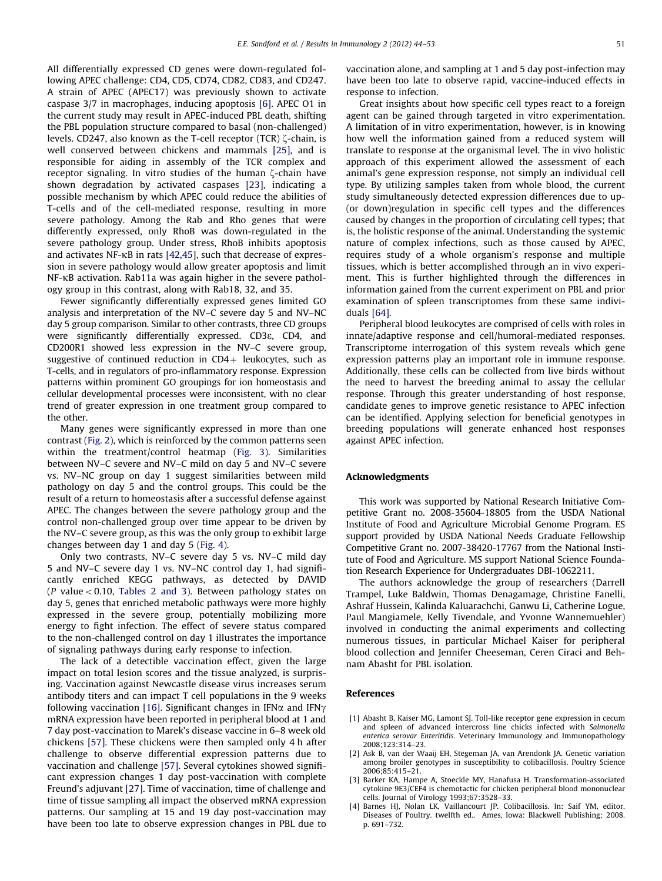<span id="page-7-0"></span>All differentially expressed CD genes were down-regulated following APEC challenge: CD4, CD5, CD74, CD82, CD83, and CD247. A strain of APEC (APEC17) was previously shown to activate caspase 3/7 in macrophages, inducing apoptosis [\[6\]](#page-8-0). APEC O1 in the current study may result in APEC-induced PBL death, shifting the PBL population structure compared to basal (non-challenged) levels. CD247, also known as the T-cell receptor  $(TCR)$   $\zeta$ -chain, is well conserved between chickens and mammals [\[25\]](#page-8-0), and is responsible for aiding in assembly of the TCR complex and receptor signaling. In vitro studies of the human  $\zeta$ -chain have shown degradation by activated caspases [\[23\]](#page-8-0), indicating a possible mechanism by which APEC could reduce the abilities of T-cells and of the cell-mediated response, resulting in more severe pathology. Among the Rab and Rho genes that were differently expressed, only RhoB was down-regulated in the severe pathology group. Under stress, RhoB inhibits apoptosis and activates NF-kB in rats [\[42](#page-8-0),[45\]](#page-8-0), such that decrease of expression in severe pathology would allow greater apoptosis and limit NF-kB activation. Rab11a was again higher in the severe pathology group in this contrast, along with Rab18, 32, and 35.

Fewer significantly differentially expressed genes limited GO analysis and interpretation of the NV–C severe day 5 and NV–NC day 5 group comparison. Similar to other contrasts, three CD groups were significantly differentially expressed. CD3e, CD4, and CD200R1 showed less expression in the NV–C severe group, suggestive of continued reduction in  $CD4+$  leukocytes, such as T-cells, and in regulators of pro-inflammatory response. Expression patterns within prominent GO groupings for ion homeostasis and cellular developmental processes were inconsistent, with no clear trend of greater expression in one treatment group compared to the other.

Many genes were significantly expressed in more than one contrast ([Fig. 2\)](#page-3-0), which is reinforced by the common patterns seen within the treatment/control heatmap [\(Fig. 3](#page-4-0)). Similarities between NV–C severe and NV–C mild on day 5 and NV–C severe vs. NV–NC group on day 1 suggest similarities between mild pathology on day 5 and the control groups. This could be the result of a return to homeostasis after a successful defense against APEC. The changes between the severe pathology group and the control non-challenged group over time appear to be driven by the NV–C severe group, as this was the only group to exhibit large changes between day 1 and day 5 [\(Fig. 4](#page-5-0)).

Only two contrasts, NV–C severe day 5 vs. NV–C mild day 5 and NV–C severe day 1 vs. NV–NC control day 1, had significantly enriched KEGG pathways, as detected by DAVID ( $P$  value < 0.10, [Tables 2 and 3](#page-5-0)). Between pathology states on day 5, genes that enriched metabolic pathways were more highly expressed in the severe group, potentially mobilizing more energy to fight infection. The effect of severe status compared to the non-challenged control on day 1 illustrates the importance of signaling pathways during early response to infection.

The lack of a detectible vaccination effect, given the large impact on total lesion scores and the tissue analyzed, is surprising. Vaccination against Newcastle disease virus increases serum antibody titers and can impact T cell populations in the 9 weeks following vaccination [\[16\]](#page-8-0). Significant changes in IFN $\alpha$  and IFN $\gamma$ mRNA expression have been reported in peripheral blood at 1 and 7 day post-vaccination to Marek's disease vaccine in 6–8 week old chickens [\[57\].](#page-8-0) These chickens were then sampled only 4 h after challenge to observe differential expression patterns due to vaccination and challenge [\[57\].](#page-8-0) Several cytokines showed significant expression changes 1 day post-vaccination with complete Freund's adjuvant [\[27\].](#page-8-0) Time of vaccination, time of challenge and time of tissue sampling all impact the observed mRNA expression patterns. Our sampling at 15 and 19 day post-vaccination may have been too late to observe expression changes in PBL due to vaccination alone, and sampling at 1 and 5 day post-infection may have been too late to observe rapid, vaccine-induced effects in response to infection.

Great insights about how specific cell types react to a foreign agent can be gained through targeted in vitro experimentation. A limitation of in vitro experimentation, however, is in knowing how well the information gained from a reduced system will translate to response at the organismal level. The in vivo holistic approach of this experiment allowed the assessment of each animal's gene expression response, not simply an individual cell type. By utilizing samples taken from whole blood, the current study simultaneously detected expression differences due to up- (or down)regulation in specific cell types and the differences caused by changes in the proportion of circulating cell types; that is, the holistic response of the animal. Understanding the systemic nature of complex infections, such as those caused by APEC, requires study of a whole organism's response and multiple tissues, which is better accomplished through an in vivo experiment. This is further highlighted through the differences in information gained from the current experiment on PBL and prior examination of spleen transcriptomes from these same individuals [\[64\]](#page-9-0).

Peripheral blood leukocytes are comprised of cells with roles in innate/adaptive response and cell/humoral-mediated responses. Transcriptome interrogation of this system reveals which gene expression patterns play an important role in immune response. Additionally, these cells can be collected from live birds without the need to harvest the breeding animal to assay the cellular response. Through this greater understanding of host response, candidate genes to improve genetic resistance to APEC infection can be identified. Applying selection for beneficial genotypes in breeding populations will generate enhanced host responses against APEC infection.

#### Acknowledgments

This work was supported by National Research Initiative Competitive Grant no. 2008-35604-18805 from the USDA National Institute of Food and Agriculture Microbial Genome Program. ES support provided by USDA National Needs Graduate Fellowship Competitive Grant no. 2007-38420-17767 from the National Institute of Food and Agriculture. MS support National Science Foundation Research Experience for Undergraduates DBI-1062211.

The authors acknowledge the group of researchers (Darrell Trampel, Luke Baldwin, Thomas Denagamage, Christine Fanelli, Ashraf Hussein, Kalinda Kaluarachchi, Ganwu Li, Catherine Logue, Paul Mangiamele, Kelly Tivendale, and Yvonne Wannemuehler) involved in conducting the animal experiments and collecting numerous tissues, in particular Michael Kaiser for peripheral blood collection and Jennifer Cheeseman, Ceren Ciraci and Behnam Abasht for PBL isolation.

## References

- [1] Abasht B, Kaiser MG, Lamont SJ. Toll-like receptor gene expression in cecum and spleen of advanced intercross line chicks infected with Salmonella enterica serovar Enteritidis. Veterinary Immunology and Immunopathology 2008;123:314–23.
- [2] Ask B, van der Waaij EH, Stegeman JA, van Arendonk JA. Genetic variation among broiler genotypes in susceptibility to colibacillosis. Poultry Science 2006;85:415–21.
- [3] Barker KA, Hampe A, Stoeckle MY, Hanafusa H. Transformation-associated cytokine 9E3/CEF4 is chemotactic for chicken peripheral blood mononuclear cells. Journal of Virology 1993;67:3528–33.
- Barnes HJ, Nolan LK, Vaillancourt JP. Colibacillosis. In: Saif YM, editor. Diseases of Poultry. twelfth ed.. Ames, Iowa: Blackwell Publishing; 2008. p. 691–732.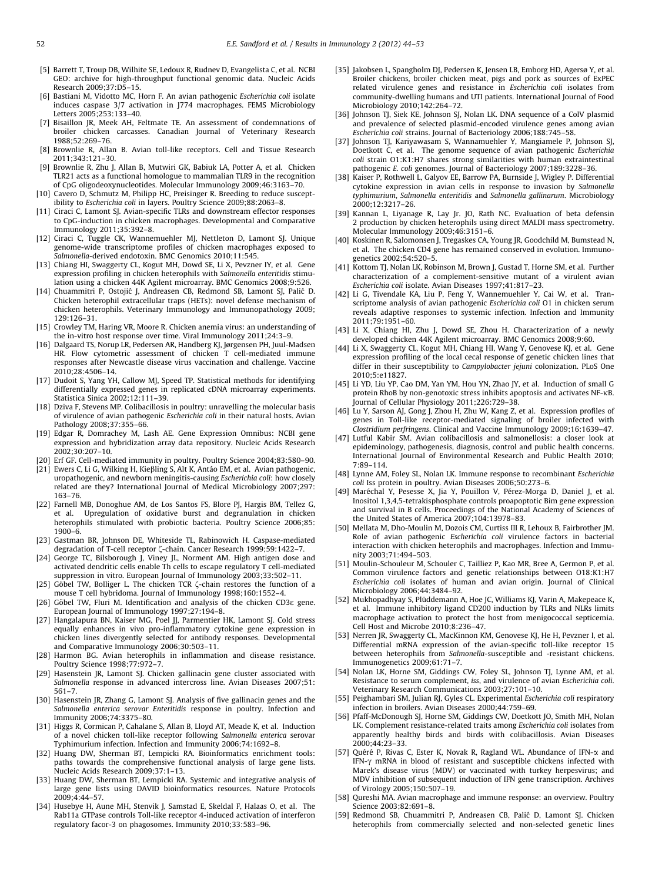- <span id="page-8-0"></span>[5] Barrett T, Troup DB, Wilhite SE, Ledoux R, Rudnev D, Evangelista C, et al. NCBI GEO: archive for high-throughput functional genomic data. Nucleic Acids Research 2009;37:D5–15.
- [6] Bastiani M, Vidotto MC, Horn F. An avian pathogenic Escherichia coli isolate induces caspase 3/7 activation in J774 macrophages. FEMS Microbiology Letters 2005;253:133–40.
- [7] Bisaillon JR, Meek AH, Feltmate TE. An assessment of condemnations of broiler chicken carcasses. Canadian Journal of Veterinary Research 1988;52:269–76.
- [8] Brownlie R, Allan B. Avian toll-like receptors. Cell and Tissue Research 2011;343:121–30.
- [9] Brownlie R, Zhu J, Allan B, Mutwiri GK, Babiuk LA, Potter A, et al. Chicken TLR21 acts as a functional homologue to mammalian TLR9 in the recognition of CpG oligodeoxynucleotides. Molecular Immunology 2009;46:3163–70.
- [10] Cavero D, Schmutz M, Philipp HC, Preisinger R. Breeding to reduce susceptibility to Escherichia coli in layers. Poultry Science 2009;88:2063–8.
- [11] Ciraci C, Lamont SJ. Avian-specific TLRs and downstream effector responses to CpG-induction in chicken macrophages. Developmental and Comparative Immunology 2011;35:392–8.
- [12] Ciraci C, Tuggle CK, Wannemuehler MJ, Nettleton D, Lamont SJ. Unique genome-wide transcriptome profiles of chicken macrophages exposed to Salmonella-derived endotoxin. BMC Genomics 2010;11:545.
- [13] Chiang HI, Swaggerty CL, Kogut MH, Dowd SE, Li X, Pevzner IY, et al. Gene expression profiling in chicken heterophils with Salmonella enteritidis stimulation using a chicken 44K Agilent microarray. BMC Genomics 2008;9:526.
- [14] Chuammitri P, Ostojic´ J, Andreasen CB, Redmond SB, Lamont SJ, Palic´ D. Chicken heterophil extracellular traps (HETs): novel defense mechanism of chicken heterophils. Veterinary Immunology and Immunopathology 2009; 129:126–31.
- [15] Crowley TM, Haring VR, Moore R. Chicken anemia virus: an understanding of the in-vitro host response over time. Viral Immunology 2011;24:3–9.
- [16] Dalgaard TS, Norup LR, Pedersen AR, Handberg KJ, Jørgensen PH, Juul-Madsen HR. Flow cytometric assessment of chicken T cell-mediated immune responses after Newcastle disease virus vaccination and challenge. Vaccine 2010;28:4506–14.
- [17] Dudoit S, Yang YH, Callow MJ, Speed TP. Statistical methods for identifying differentially expressed genes in replicated cDNA microarray experiments. Statistica Sinica 2002;12:111–39.
- [18] Dziva F, Stevens MP. Colibacillosis in poultry: unravelling the molecular basis of virulence of avian pathogenic Escherichia coli in their natural hosts. Avian Pathology 2008;37:355–66.
- [19] Edgar R, Domrachey M, Lash AE. Gene Expression Omnibus: NCBI gene expression and hybridization array data repository. Nucleic Acids Research 2002;30:207–10.
- [20] Erf GF. Cell-mediated immunity in poultry. Poultry Science 2004;83:580-90.
- [21] Ewers C, Li G, Wilking H, Kiebling S, Alt K, Anta´o EM, et al. Avian pathogenic, uropathogenic, and newborn meningitis-causing Escherichia coli: how closely related are they? International Journal of Medical Microbiology 2007;297: 163–76.
- [22] Farnell MB, Donoghue AM, de Los Santos FS, Blore PJ, Hargis BM, Tellez G, et al. Upregulation of oxidative burst and degranulation in chicken heterophils stimulated with probiotic bacteria. Poultry Science 2006;85: 1900–6.
- [23] Gastman BR, Johnson DE, Whiteside TL, Rabinowich H. Caspase-mediated degradation of T-cell receptor  $\zeta$ -chain. Cancer Research 1999;59:1422-7.
- [24] George TC, Bilsborough J, Viney JL, Norment AM. High antigen dose and activated dendritic cells enable Th cells to escape regulatory T cell-mediated suppression in vitro. European Journal of Immunology 2003;33:502–11.
- [25] Göbel TW, Bolliger L. The chicken TCR  $\zeta$ -chain restores the function of a mouse T cell hybridoma. Journal of Immunology 1998;160:1552–4.
- [26] Göbel TW, Fluri M. Identification and analysis of the chicken CD3 egene. European Journal of Immunology 1997;27:194–8.
- [27] Hangalapura BN, Kaiser MG, Poel JJ, Parmentier HK, Lamont SJ. Cold stress equally enhances in vivo pro-inflammatory cytokine gene expression in chicken lines divergently selected for antibody responses. Developmental and Comparative Immunology 2006;30:503–11.
- [28] Harmon BG. Avian heterophils in inflammation and disease resistance. Poultry Science 1998;77:972–7.
- [29] Hasenstein JR, Lamont SJ. Chicken gallinacin gene cluster associated with Salmonella response in advanced intercross line. Avian Diseases 2007;51: 561–7.
- [30] Hasenstein JR, Zhang G, Lamont SJ. Analysis of five gallinacin genes and the Salmonella enterica serovar Enteritidis response in poultry. Infection and Immunity 2006;74:3375–80.
- [31] Higgs R, Cormican P, Cahalane S, Allan B, Lloyd AT, Meade K, et al. Induction of a novel chicken toll-like receptor following Salmonella enterica serovar Typhimurium infection. Infection and Immunity 2006;74:1692–8.
- [32] Huang DW, Sherman BT, Lempicki RA. Bioinformatics enrichment tools: paths towards the comprehensive functional analysis of large gene lists. Nucleic Acids Research 2009;37:1–13.
- [33] Huang DW, Sherman BT, Lempicki RA. Systemic and integrative analysis of large gene lists using DAVID bioinformatics resources. Nature Protocols 2009;4:44–57.
- [34] Husebye H, Aune MH, Stenvik J, Samstad E, Skeldal F, Halaas O, et al. The Rab11a GTPase controls Toll-like receptor 4-induced activation of interferon regulatory facor-3 on phagosomes. Immunity 2010;33:583–96.
- [35] Jakobsen L, Spangholm DJ, Pedersen K, Jensen LB, Emborg HD, Agersø Y, et al. Broiler chickens, broiler chicken meat, pigs and pork as sources of ExPEC related virulence genes and resistance in Escherichia coli isolates from community-dwelling humans and UTI patients. International Journal of Food Microbiology 2010;142:264–72.
- [36] Johnson TJ, Siek KE, Johnson SJ, Nolan LK. DNA sequence of a ColV plasmid and prevalence of selected plasmid-encoded virulence genes among avian Escherichia coli strains. Journal of Bacteriology 2006;188:745–58.
- [37] Johnson TJ, Kariyawasam S, Wannamuehler Y, Mangiamele P, Johnson SJ, Doetkott C, et al. The genome sequence of avian pathogenic Escherichia coli strain O1:K1:H7 shares strong similarities with human extraintestinal pathogenic E. coli genomes. Journal of Bacteriology 2007;189:3228–36.
- [38] Kaiser P, Rothwell L, Galyov EE, Barrow PA, Burnside J, Wigley P. Differential cytokine expression in avian cells in response to invasion by Salmonella typhimurium, Salmonella enteritidis and Salmonella gallinarum. Microbiology 2000;12:3217–26.
- [39] Kannan L, Liyanage R, Lay Jr. JO, Rath NC. Evaluation of beta defensin 2 production by chicken heterophils using direct MALDI mass spectrometry. Molecular Immunology 2009;46:3151–6.
- [40] Koskinen R, Salomonsen J, Tregaskes CA, Young JR, Goodchild M, Bumstead N, et al. The chicken CD4 gene has remained conserved in evolution. Immunogenetics 2002;54:520–5.
- [41] Kottom TJ, Nolan LK, Robinson M, Brown J, Gustad T, Horne SM, et al. Further characterization of a complement-sensitive mutant of a virulent avian Escherichia coli isolate. Avian Diseases 1997;41:817–23.
- [42] Li G, Tivendale KA, Liu P, Feng Y, Wannemuehler Y, Cai W, et al. Transcriptome analysis of avian pathogenic Escherichia coli O1 in chicken serum reveals adaptive responses to systemic infection. Infection and Immunity  $2011:79:1951-60$
- [43] Li X, Chiang HI, Zhu J, Dowd SE, Zhou H. Characterization of a newly developed chicken 44K Agilent microarray. BMC Genomics 2008;9:60.
- [44] Li X, Swaggerty CL, Kogut MH, Chiang HI, Wang Y, Genovese KJ, et al. Gene expression profiling of the local cecal response of genetic chicken lines that differ in their susceptibility to Campylobacter jejuni colonization. PLoS One 2010;5:e11827.
- [45] Li YD, Liu YP, Cao DM, Yan YM, Hou YN, Zhao JY, et al. Induction of small G protein RhoB by non-genotoxic stress inhibits apoptosis and activates NF-kB. Journal of Cellular Physiology 2011;226:729–38.
- [46] Lu Y, Sarson AJ, Gong J, Zhou H, Zhu W, Kang Z, et al. Expression profiles of genes in Toll-like receptor-mediated signaling of broiler infected with Clostridium perfringens. Clinical and Vaccine Immunology 2009;16:1639–47.
- [47] Lutful Kabir SM. Avian colibacillosis and salmonellosis: a closer look at epideminology, pathogenesis, diagnosis, control and public health concerns. International Journal of Environmental Research and Public Health 2010; 7:89–114.
- [48] Lynne AM, Foley SL, Nolan LK. Immune response to recombinant Escherichia coli Iss protein in poultry. Avian Diseases 2006;50:273–6.
- [49] Maréchal Y, Pesesse X, Jia Y, Pouillon V, Pérez-Morga D, Daniel J, et al. Inositol 1,3,4,5-tetrakisphosphate controls proapoptotic Bim gene expression and survival in B cells. Proceedings of the National Academy of Sciences of the United States of America 2007;104:13978–83.
- [50] Mellata M, Dho-Moulin M, Dozois CM, Curtiss III R, Lehoux B, Fairbrother JM. Role of avian pathogenic Escherichia coli virulence factors in bacterial interaction with chicken heterophils and macrophages. Infection and Immunity 2003;71:494–503.
- [51] Moulin-Schouleur M, Schouler C, Tailliez P, Kao MR, Bree A, Germon P, et al. Common virulence factors and genetic relationships between O18:K1:H7 Escherichia coli isolates of human and avian origin. Journal of Clinical Microbiology 2006;44:3484–92.
- [52] Mukhopadhyay S, Plüddemann A, Hoe JC, Williams KJ, Varin A, Makepeace K, et al. Immune inhibitory ligand CD200 induction by TLRs and NLRs limits macrophage activation to protect the host from menigococcal septicemia. Cell Host and Microbe 2010;8:236–47.
- [53] Nerren JR, Swaggerty CL, MacKinnon KM, Genovese KJ, He H, Pevzner I, et al. Differential mRNA expression of the avian-specific toll-like receptor 15 between heterophils from Salmonella-susceptible and -resistant chickens. Immunogenetics 2009;61:71–7.
- [54] Nolan LK, Horne SM, Giddings CW, Foley SL, Johnson TJ, Lynne AM, et al. Resistance to serum complement, iss, and virulence of avian Escherichia coli. Veterinary Research Communications 2003;27:101–10.
- [55] Peighambari SM, Julian RJ, Gyles CL. Experimental Escherichia coli respiratory infection in broilers. Avian Diseases 2000;44:759–69.
- [56] Pfaff-McDonough SJ, Horne SM, Giddings CW, Doetkott JO, Smith MH, Nolan LK. Complement resistance-related traits among Escherichia coli isolates from apparently healthy birds and birds with colibacillosis. Avian Diseases 2000;44:23–33.
- [57] Quéré P, Rivas C, Ester K, Novak R, Ragland WL. Abundance of IFN- $\alpha$  and IFN- $\gamma$  mRNA in blood of resistant and susceptible chickens infected with Marek's disease virus (MDV) or vaccinated with turkey herpesvirus; and MDV inhibition of subsequent induction of IFN gene transcription. Archives of Virology 2005;150:507–19.
- [58] Qureshi MA. Avian macrophage and immune response: an overview. Poultry Science 2003;82:691–8.
- [59] Redmond SB, Chuammitri P, Andreasen CB, Palic´ D, Lamont SJ. Chicken heterophils from commercially selected and non-selected genetic lines